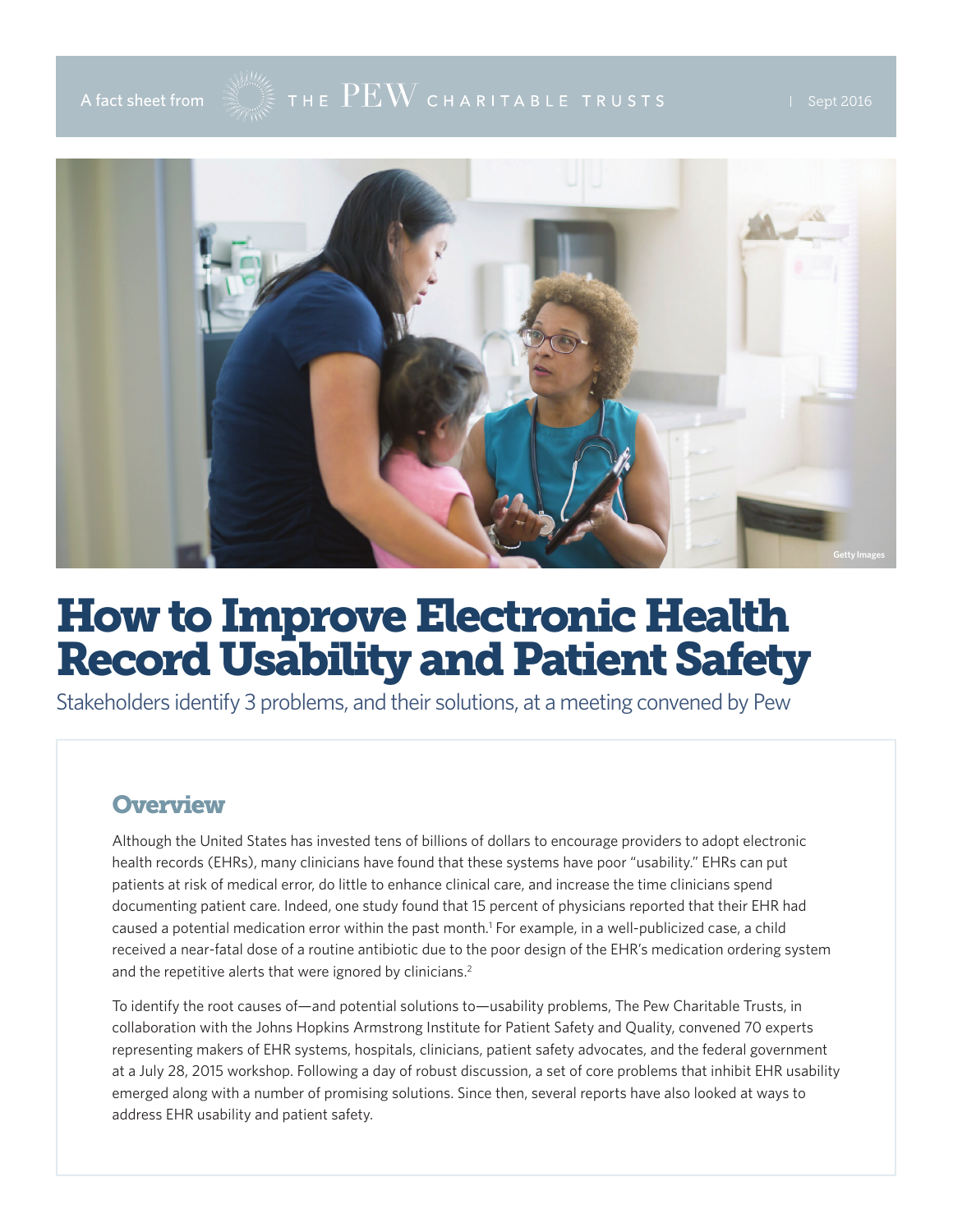

# A fact sheet from  $\mathbb{R}^{\mathbb{N}\times\mathbb{Z}}$  THE  $\rm{PEW}$  CHARITABLE TRUSTS FROM THE Sept 2016



# How to Improve Electronic Health Record Usability and Patient Safety

Stakeholders identify 3 problems, and their solutions, at a meeting convened by Pew

#### **Overview**

Although the United States has invested tens of billions of dollars to encourage providers to adopt electronic health records (EHRs), many clinicians have found that these systems have poor "usability." EHRs can put patients at risk of medical error, do little to enhance clinical care, and increase the time clinicians spend documenting patient care. Indeed, [one study](https://www.healthit.gov/sites/default/files/safetyqualitybrieffinal_sept2014_final.pdf) found that 15 percent of physicians reported that their EHR had caused a potential medication error within the past month.<sup>1</sup> For example, in a well-publicized case, a child received a near-fatal dose of a routine antibiotic due to the poor design of the EHR's medication ordering system and the repetitive alerts that were ignored by clinicians.<sup>2</sup>

To identify the root causes of—and potential solutions to—usability problems, The Pew Charitable Trusts, in collaboration with the Johns Hopkins Armstrong Institute for Patient Safety and Quality, convened 70 experts representing makers of EHR systems, hospitals, clinicians, patient safety advocates, and the federal government at a July 28, 2015 workshop. Following a day of robust discussion, a set of core problems that inhibit EHR usability emerged along with a number of promising solutions. Since then, several reports have also looked at ways to address EHR usability and patient safety.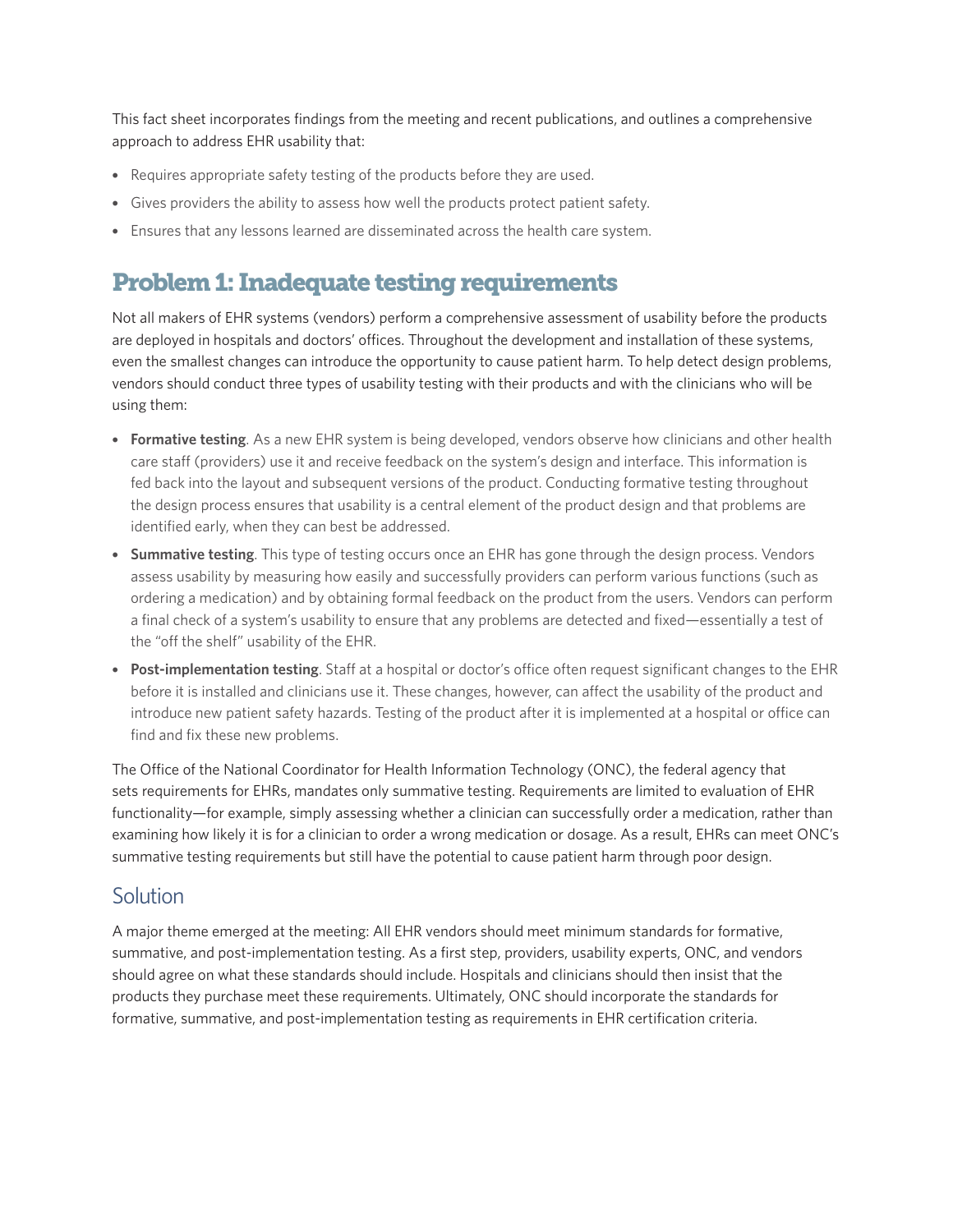This fact sheet incorporates findings from the meeting and recent publications, and outlines a comprehensive approach to address EHR usability that:

- Requires appropriate safety testing of the products before they are used.
- Gives providers the ability to assess how well the products protect patient safety.
- Ensures that any lessons learned are disseminated across the health care system.

### Problem 1: Inadequate testing requirements

Not all makers of EHR systems (vendors) perform a comprehensive assessment of usability before the products are deployed in hospitals and doctors' offices. Throughout the development and installation of these systems, even the smallest changes can introduce the opportunity to cause patient harm. To help detect design problems, vendors should conduct three types of usability testing with their products and with the clinicians who will be using them:

- **Formative testing**. As a new EHR system is being developed, vendors observe how clinicians and other health care staff (providers) use it and receive feedback on the system's design and interface. This information is fed back into the layout and subsequent versions of the product. Conducting formative testing throughout the design process ensures that usability is a central element of the product design and that problems are identified early, when they can best be addressed.
- **Summative testing**. This type of testing occurs once an EHR has gone through the design process. Vendors assess usability by measuring how easily and successfully providers can perform various functions (such as ordering a medication) and by obtaining formal feedback on the product from the users. Vendors can perform a final check of a system's usability to ensure that any problems are detected and fixed—essentially a test of the "off the shelf" usability of the EHR.
- **Post-implementation testing**. Staff at a hospital or doctor's office often request significant changes to the EHR before it is installed and clinicians use it. These changes, however, can affect the usability of the product and introduce new patient safety hazards. Testing of the product after it is implemented at a hospital or office can find and fix these new problems.

The Office of the National Coordinator for Health Information Technology (ONC), the federal agency that sets requirements for EHRs, mandates only summative testing. Requirements are limited to evaluation of EHR functionality—for example, simply assessing whether a clinician can successfully order a medication, rather than examining how likely it is for a clinician to order a wrong medication or dosage. As a result, EHRs can meet ONC's summative testing requirements but still have the potential to cause patient harm through poor design.

#### **Solution**

A major theme emerged at the meeting: All EHR vendors should meet minimum standards for formative, summative, and post-implementation testing. As a first step, providers, usability experts, ONC, and vendors should agree on what these standards should include. Hospitals and clinicians should then insist that the products they purchase meet these requirements. Ultimately, ONC should incorporate the standards for formative, summative, and post-implementation testing as requirements in EHR certification criteria.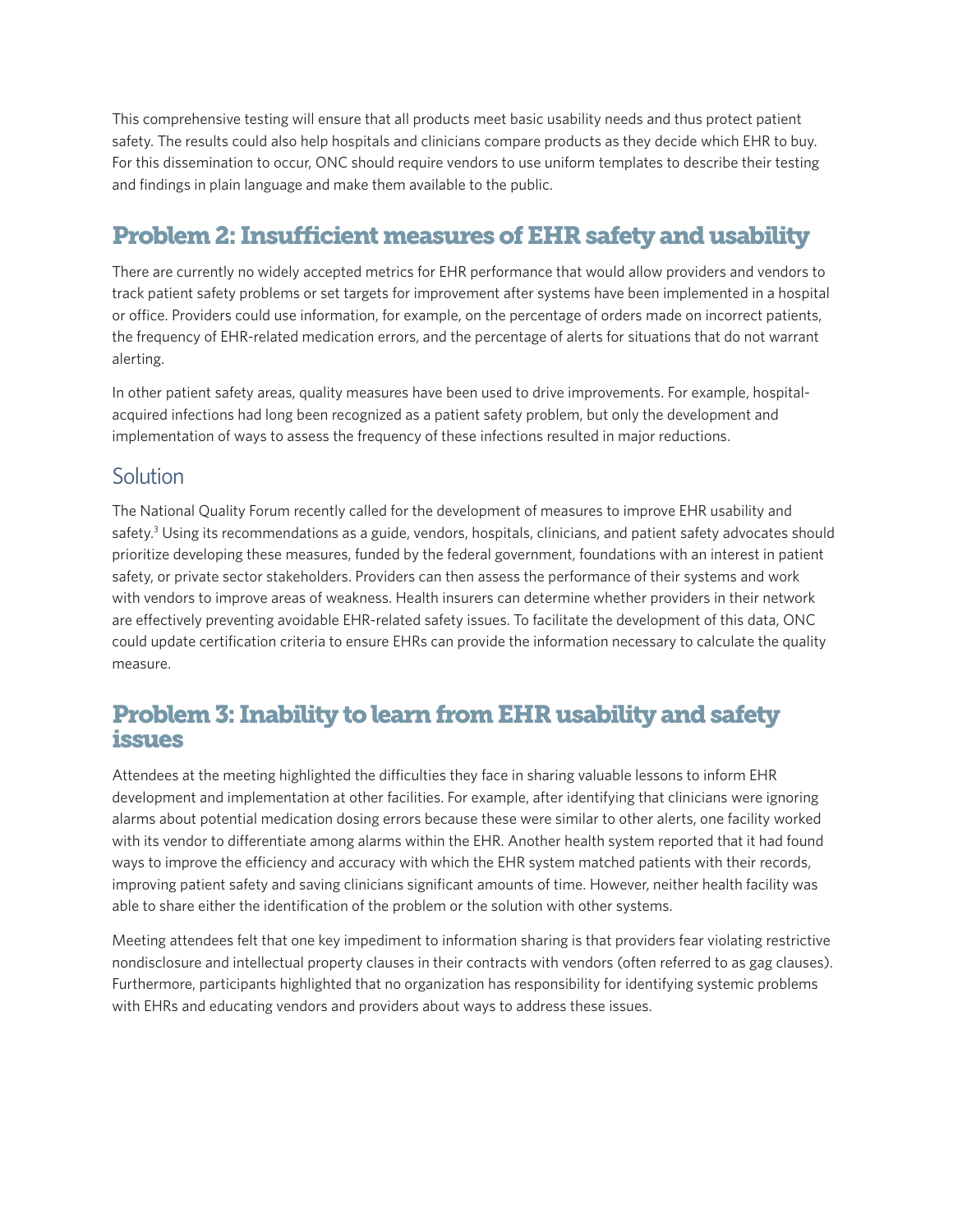This comprehensive testing will ensure that all products meet basic usability needs and thus protect patient safety. The results could also help hospitals and clinicians compare products as they decide which EHR to buy. For this dissemination to occur, ONC should require vendors to use uniform templates to describe their testing and findings in plain language and make them available to the public.

## Problem 2: Insufficient measures of EHR safety and usability

There are currently no widely accepted metrics for EHR performance that would allow providers and vendors to track patient safety problems or set targets for improvement after systems have been implemented in a hospital or office. Providers could use information, for example, on the percentage of orders made on incorrect patients, the frequency of EHR-related medication errors, and the percentage of alerts for situations that do not warrant alerting.

In other patient safety areas, quality measures have been used to drive improvements. For example, hospitalacquired infections had long been recognized as a patient safety problem, but only the development and implementation of ways to assess the frequency of these infections resulted in major reductions.

#### **Solution**

The National Quality Forum recently called for the development of measures to improve EHR usability and safety.<sup>3</sup> Using its recommendations as a guide, vendors, hospitals, clinicians, and patient safety advocates should prioritize developing these measures, funded by the federal government, foundations with an interest in patient safety, or private sector stakeholders. Providers can then assess the performance of their systems and work with vendors to improve areas of weakness. Health insurers can determine whether providers in their network are effectively preventing avoidable EHR-related safety issues. To facilitate the development of this data, ONC could update certification criteria to ensure EHRs can provide the information necessary to calculate the quality measure.

#### Problem 3: Inability to learn from EHR usability and safety issues

Attendees at the meeting highlighted the difficulties they face in sharing valuable lessons to inform EHR development and implementation at other facilities. For example, after identifying that clinicians were ignoring alarms about potential medication dosing errors because these were similar to other alerts, one facility worked with its vendor to differentiate among alarms within the EHR. Another health system reported that it had found ways to improve the efficiency and accuracy with which the EHR system matched patients with their records, improving patient safety and saving clinicians significant amounts of time. However, neither health facility was able to share either the identification of the problem or the solution with other systems.

Meeting attendees felt that one key impediment to information sharing is that providers fear violating restrictive nondisclosure and intellectual property clauses in their contracts with vendors (often referred to as gag clauses). Furthermore, participants highlighted that no organization has responsibility for identifying systemic problems with EHRs and educating vendors and providers about ways to address these issues.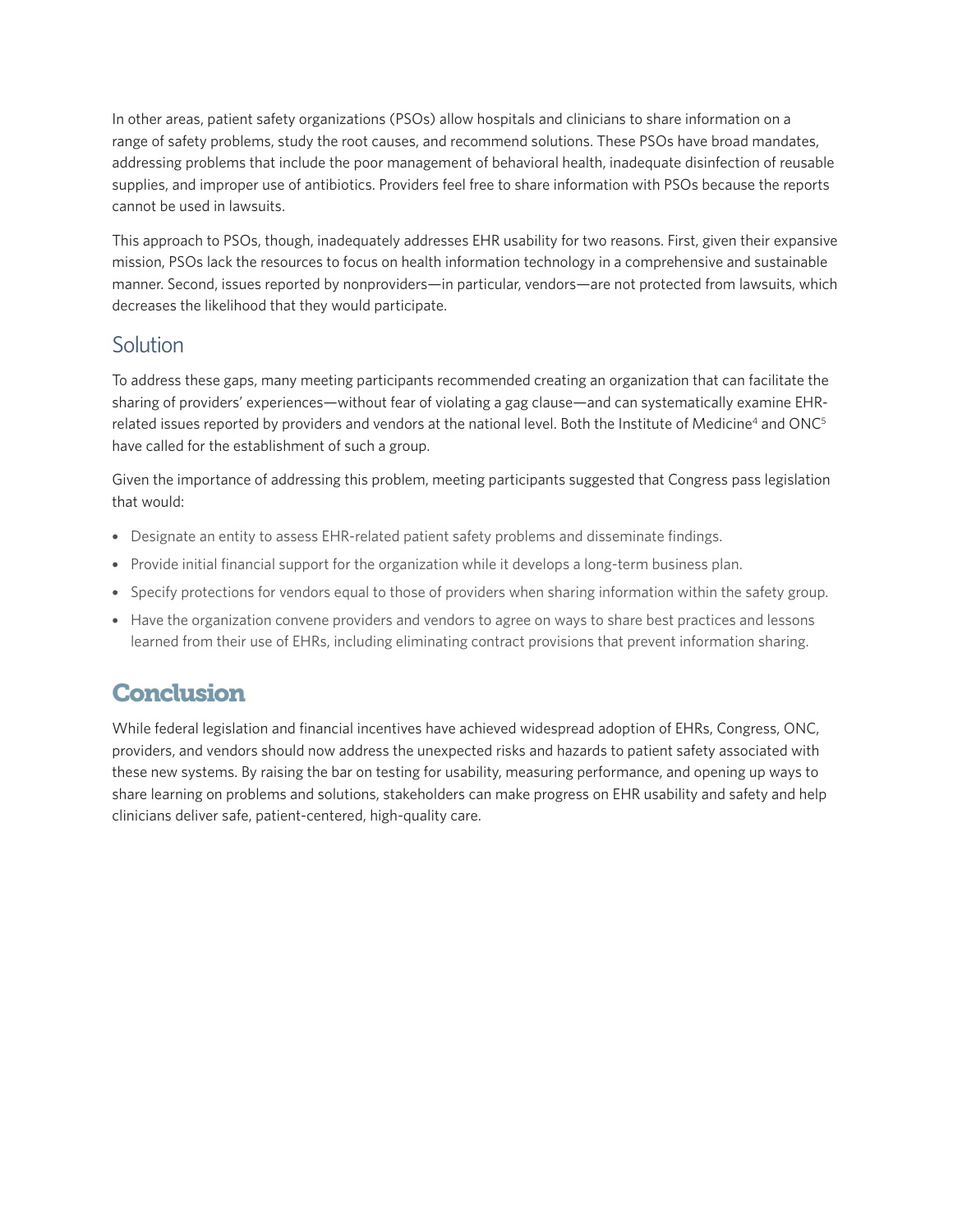In other areas, patient safety organizations (PSOs) allow hospitals and clinicians to share information on a range of safety problems, study the root causes, and recommend solutions. These PSOs have broad mandates, addressing problems that include the poor management of behavioral health, inadequate disinfection of reusable supplies, and improper use of antibiotics. Providers feel free to share information with PSOs because the reports cannot be used in lawsuits.

This approach to PSOs, though, inadequately addresses EHR usability for two reasons. First, given their expansive mission, PSOs lack the resources to focus on health information technology in a comprehensive and sustainable manner. Second, issues reported by nonproviders—in particular, vendors—are not protected from lawsuits, which decreases the likelihood that they would participate.

#### Solution

To address these gaps, many meeting participants recommended creating an organization that can facilitate the sharing of providers' experiences—without fear of violating a gag clause—and can systematically examine EHRrelated issues reported by providers and vendors at the national level. Both the Institute of Medicine<sup>4</sup> and ONC<sup>5</sup> have called for the establishment of such a group.

Given the importance of addressing this problem, meeting participants suggested that Congress pass legislation that would:

- Designate an entity to assess EHR-related patient safety problems and disseminate findings.
- Provide initial financial support for the organization while it develops a long-term business plan.
- Specify protections for vendors equal to those of providers when sharing information within the safety group.
- Have the organization convene providers and vendors to agree on ways to share best practices and lessons learned from their use of EHRs, including eliminating contract provisions that prevent information sharing.

#### **Conclusion**

While federal legislation and financial incentives have achieved widespread adoption of EHRs, Congress, ONC, providers, and vendors should now address the unexpected risks and hazards to patient safety associated with these new systems. By raising the bar on testing for usability, measuring performance, and opening up ways to share learning on problems and solutions, stakeholders can make progress on EHR usability and safety and help clinicians deliver safe, patient-centered, high-quality care.